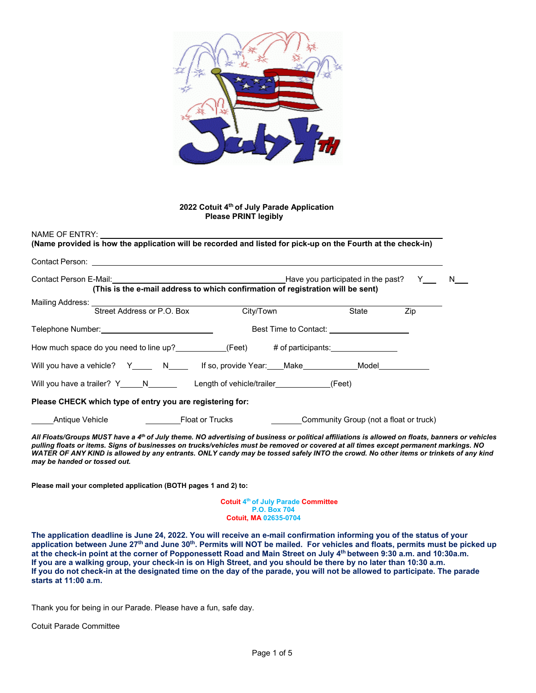

#### **2022 Cotuit 4th of July Parade Application Please PRINT legibly**

#### NAME OF ENTRY:

**(Name provided is how the application will be recorded and listed for pick-up on the Fourth at the check-in)** Contact Person: Contact Person E-Mail: Have you participated in the past? Y N **(This is the e-mail address to which confirmation of registration will be sent)**  Mailing Address: Street Address or P.O. Box City/Town State Zip Telephone Number: The South of the Best Time to Contact: How much space do you need to line up? (Feet) # of participants: Will you have a vehicle? Y\_\_\_\_\_ N\_\_\_\_\_ If so, provide Year: Make Model Model Will you have a trailer?  $Y_$   $N_$   $N_$  Length of vehicle/trailer  $(Feet)$ **Please CHECK which type of entry you are registering for:** Antique Vehicle **Float or Trucks** Community Group (not a float or truck)

*All Floats/Groups MUST have a 4th of July theme. NO advertising of business or political affiliations is allowed on floats, banners or vehicles pulling floats or items. Signs of businesses on trucks/vehicles must be removed or covered at all times except permanent markings. NO WATER OF ANY KIND is allowed by any entrants. ONLY candy may be tossed safely INTO the crowd. No other items or trinkets of any kind may be handed or tossed out.*

**Please mail your completed application (BOTH pages 1 and 2) to:** 

**Cotuit 4th of July Parade Committee P.O. Box 704 Cotuit, MA 02635-0704**

**The application deadline is June 24, 2022. You will receive an e-mail confirmation informing you of the status of your**  application between June 27<sup>th</sup> and June 30<sup>th</sup>. Permits will NOT be mailed. For vehicles and floats, permits must be picked up **at the check-in point at the corner of Popponessett Road and Main Street on July 4th between 9:30 a.m. and 10:30a.m. If you are a walking group, your check-in is on High Street, and you should be there by no later than 10:30 a.m. If you do not check-in at the designated time on the day of the parade, you will not be allowed to participate. The parade starts at 11:00 a.m.**

Thank you for being in our Parade. Please have a fun, safe day.

Cotuit Parade Committee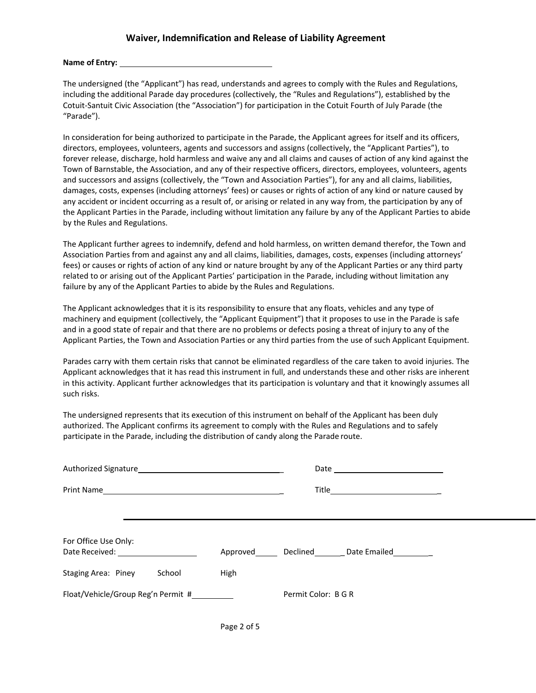#### **Waiver, Indemnification and Release of Liability Agreement**

#### **Name of Entry:**

The undersigned (the "Applicant") has read, understands and agrees to comply with the Rules and Regulations, including the additional Parade day procedures (collectively, the "Rules and Regulations"), established by the Cotuit-Santuit Civic Association (the "Association") for participation in the Cotuit Fourth of July Parade (the "Parade").

In consideration for being authorized to participate in the Parade, the Applicant agrees for itself and its officers, directors, employees, volunteers, agents and successors and assigns (collectively, the "Applicant Parties"), to forever release, discharge, hold harmless and waive any and all claims and causes of action of any kind against the Town of Barnstable, the Association, and any of their respective officers, directors, employees, volunteers, agents and successors and assigns (collectively, the "Town and Association Parties"), for any and all claims, liabilities, damages, costs, expenses (including attorneys' fees) or causes or rights of action of any kind or nature caused by any accident or incident occurring as a result of, or arising or related in any way from, the participation by any of the Applicant Parties in the Parade, including without limitation any failure by any of the Applicant Parties to abide by the Rules and Regulations.

The Applicant further agrees to indemnify, defend and hold harmless, on written demand therefor, the Town and Association Parties from and against any and all claims, liabilities, damages, costs, expenses (including attorneys' fees) or causes or rights of action of any kind or nature brought by any of the Applicant Parties or any third party related to or arising out of the Applicant Parties' participation in the Parade, including without limitation any failure by any of the Applicant Parties to abide by the Rules and Regulations.

The Applicant acknowledges that it is its responsibility to ensure that any floats, vehicles and any type of machinery and equipment (collectively, the "Applicant Equipment") that it proposes to use in the Parade is safe and in a good state of repair and that there are no problems or defects posing a threat of injury to any of the Applicant Parties, the Town and Association Parties or any third parties from the use of such Applicant Equipment.

Parades carry with them certain risks that cannot be eliminated regardless of the care taken to avoid injuries. The Applicant acknowledges that it has read this instrument in full, and understands these and other risks are inherent in this activity. Applicant further acknowledges that its participation is voluntary and that it knowingly assumes all such risks.

The undersigned represents that its execution of this instrument on behalf of the Applicant has been duly authorized. The Applicant confirms its agreement to comply with the Rules and Regulations and to safely participate in the Parade, including the distribution of candy along the Parade route.

|                                                                                                                                                                                                                                                        |      | $\begin{minipage}{.4\linewidth} \textbf{Title} \end{minipage} \begin{minipage}{.4\linewidth} \textbf{Title} \end{minipage} \begin{minipage}{.4\linewidth} \textbf{Title} \end{minipage} \begin{minipage}{.4\linewidth} \textbf{Title} \end{minipage} \begin{minipage}{.4\linewidth} \textbf{Right} \end{minipage} \begin{minipage}{.4\linewidth} \textbf{Right} \end{minipage} \begin{minipage}{.4\linewidth} \textbf{Right} \end{minipage} \begin{minipage}{.4\linewidth} \textbf{Right} \end{minipage} \begin{minipage}{.4\linewidth} \textbf{Right} \end$ |
|--------------------------------------------------------------------------------------------------------------------------------------------------------------------------------------------------------------------------------------------------------|------|--------------------------------------------------------------------------------------------------------------------------------------------------------------------------------------------------------------------------------------------------------------------------------------------------------------------------------------------------------------------------------------------------------------------------------------------------------------------------------------------------------------------------------------------------------------|
|                                                                                                                                                                                                                                                        |      |                                                                                                                                                                                                                                                                                                                                                                                                                                                                                                                                                              |
| For Office Use Only:<br>Date Received: Note that the state of the state of the state of the state of the state of the state of the state of the state of the state of the state of the state of the state of the state of the state of the state of th |      | Approved Declined Date Emailed                                                                                                                                                                                                                                                                                                                                                                                                                                                                                                                               |
| Staging Area: Piney<br>School                                                                                                                                                                                                                          | High |                                                                                                                                                                                                                                                                                                                                                                                                                                                                                                                                                              |
| Float/Vehicle/Group Reg'n Permit #__________                                                                                                                                                                                                           |      | Permit Color: B G R                                                                                                                                                                                                                                                                                                                                                                                                                                                                                                                                          |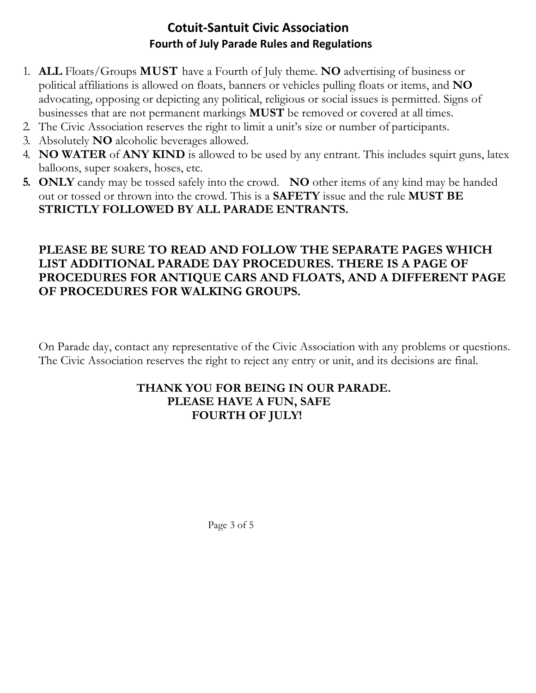## **Cotuit-Santuit Civic Association Fourth of July Parade Rules and Regulations**

- 1. **ALL** Floats/Groups **MUST** have a Fourth of July theme. **NO** advertising of business or political affiliations is allowed on floats, banners or vehicles pulling floats or items, and **NO**  advocating, opposing or depicting any political, religious or social issues is permitted. Signs of businesses that are not permanent markings **MUST** be removed or covered at all times.
- 2. The Civic Association reserves the right to limit a unit's size or number of participants.
- 3. Absolutely **NO** alcoholic beverages allowed.
- 4. **NO WATER** of **ANY KIND** is allowed to be used by any entrant. This includes squirt guns, latex balloons, super soakers, hoses, etc.
- **5. ONLY** candy may be tossed safely into the crowd. **NO** other items of any kind may be handed out or tossed or thrown into the crowd. This is a **SAFETY** issue and the rule **MUST BE STRICTLY FOLLOWED BY ALL PARADE ENTRANTS.**

## **PLEASE BE SURE TO READ AND FOLLOW THE SEPARATE PAGES WHICH LIST ADDITIONAL PARADE DAY PROCEDURES. THERE IS A PAGE OF PROCEDURES FOR ANTIQUE CARS AND FLOATS, AND A DIFFERENT PAGE OF PROCEDURES FOR WALKING GROUPS.**

On Parade day, contact any representative of the Civic Association with any problems or questions. The Civic Association reserves the right to reject any entry or unit, and its decisions are final.

### **THANK YOU FOR BEING IN OUR PARADE. PLEASE HAVE A FUN, SAFE FOURTH OF JULY!**

Page 3 of 5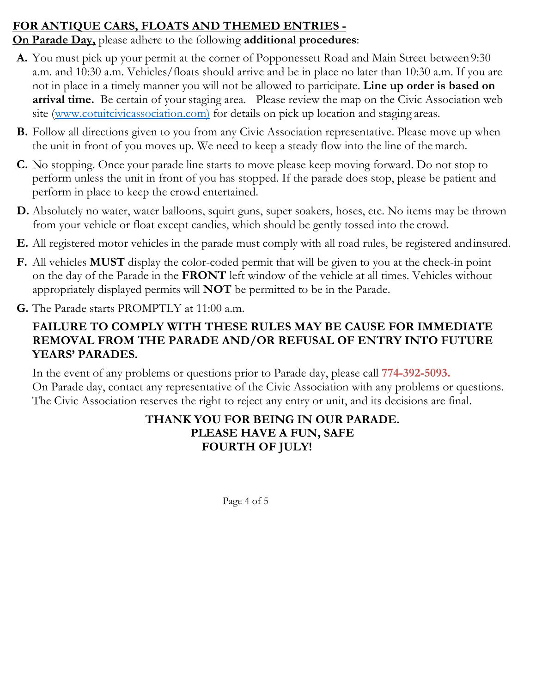## **FOR ANTIQUE CARS, FLOATS AND THEMED ENTRIES -**

**On Parade Day,** please adhere to the following **additional procedures**:

- **A.** You must pick up your permit at the corner of Popponessett Road and Main Street between 9:30 a.m. and 10:30 a.m. Vehicles/floats should arrive and be in place no later than 10:30 a.m. If you are not in place in a timely manner you will not be allowed to participate. **Line up order is based on arrival time.** Be certain of your staging area. Please review the map on the Civic Association web site (www.cotuitcivicassociation.com) for details on pick up location and staging areas.
- **B.** Follow all directions given to you from any Civic Association representative. Please move up when the unit in front of you moves up. We need to keep a steady flow into the line of the march.
- **C.** No stopping. Once your parade line starts to move please keep moving forward. Do not stop to perform unless the unit in front of you has stopped. If the parade does stop, please be patient and perform in place to keep the crowd entertained.
- **D.** Absolutely no water, water balloons, squirt guns, super soakers, hoses, etc. No items may be thrown from your vehicle or float except candies, which should be gently tossed into the crowd.
- **E.** All registered motor vehicles in the parade must comply with all road rules, be registered and insured.
- **F.** All vehicles **MUST** display the color-coded permit that will be given to you at the check-in point on the day of the Parade in the **FRONT** left window of the vehicle at all times. Vehicles without appropriately displayed permits will **NOT** be permitted to be in the Parade.
- **G.** The Parade starts PROMPTLY at 11:00 a.m.

# **FAILURE TO COMPLY WITH THESE RULES MAY BE CAUSE FOR IMMEDIATE REMOVAL FROM THE PARADE AND/OR REFUSAL OF ENTRY INTO FUTURE YEARS' PARADES.**

In the event of any problems or questions prior to Parade day, please call **774-392-5093.**  On Parade day, contact any representative of the Civic Association with any problems or questions. The Civic Association reserves the right to reject any entry or unit, and its decisions are final.

## **THANK YOU FOR BEING IN OUR PARADE. PLEASE HAVE A FUN, SAFE FOURTH OF JULY!**

Page 4 of 5